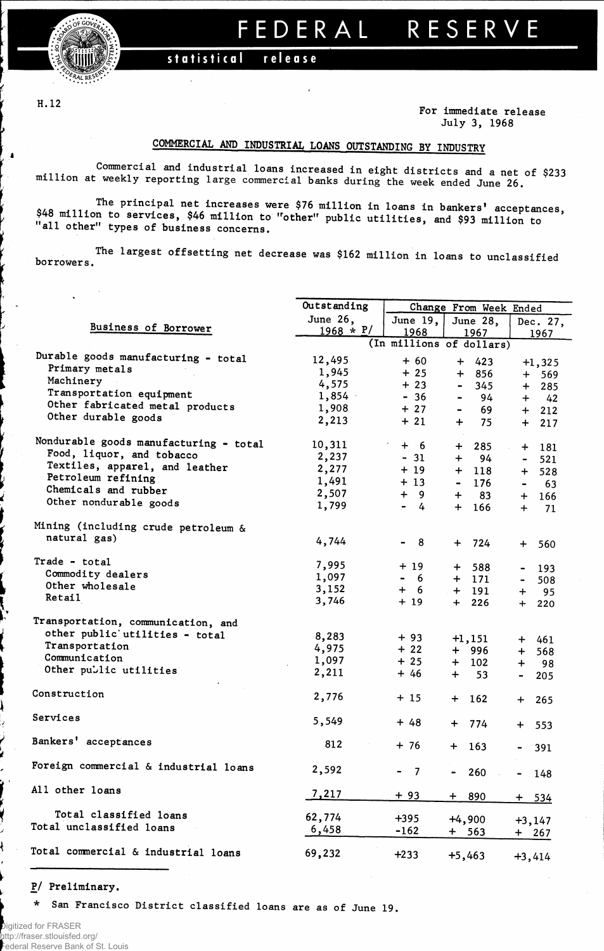

## **FEDERA L RESERV E**

## statistical releas e

**H. 12**

 $\bullet$ 

**For immediate release July 3, 1968**

## COMMERCIAL AND INDUSTRIAL LOANS OUTSTANDING BY INDUSTRY

**Commercial and industrial loans increased in eight districts and a net of \$233 million at weekly reporting large commercial banks during the week ended June 26.**

**.... T h ® Principal net increases were \$76 million in loans in bankers' acceptances, \$48 miilion to services, \$46 million to "other" public utilities, and \$93 million to all other types of business concerns.**

**borrowers. The largest offsetting net decrease was \$162 million in loans to unclassified**

|                                        | Outstanding             | Change From Week Ended              |                                  |                                     |  |  |  |  |
|----------------------------------------|-------------------------|-------------------------------------|----------------------------------|-------------------------------------|--|--|--|--|
|                                        |                         |                                     |                                  | Dec. 27,                            |  |  |  |  |
| Business of Borrower                   | June 26,<br>$1968 * P/$ | June 19,                            | June 28,                         |                                     |  |  |  |  |
|                                        |                         | 1968                                | 1967<br>(In millions of dollars) | 1967                                |  |  |  |  |
|                                        |                         |                                     |                                  |                                     |  |  |  |  |
| Durable goods manufacturing - total    | 12,495                  | $+60$                               | $+ 423$                          | $+1,325$                            |  |  |  |  |
| Primary metals                         | 1,945                   | $+25$                               | 856<br>$+$                       | $+$<br>569                          |  |  |  |  |
| Machinery                              | 4,575                   | $+23$                               | 345<br>$\blacksquare$            | $+$<br>285                          |  |  |  |  |
| Transportation equipment               | 1,854                   | $-36$                               | 94<br>-                          | $+ 42$                              |  |  |  |  |
| Other fabricated metal products        | 1,908                   | $+27$                               | 69<br>$\blacksquare$             | $+ 212$                             |  |  |  |  |
| Other durable goods                    | 2,213                   | $+21$                               | 75<br>$+$                        | $+ 217$                             |  |  |  |  |
| Nondurable goods manufacturing - total | 10,311                  |                                     |                                  |                                     |  |  |  |  |
| Food, liquor, and tobacco              |                         | $+6$                                | 285<br>$+$                       | $+ 181$                             |  |  |  |  |
| Textiles, apparel, and leather         | 2,237                   | $-31$                               | $+$<br>94                        | 521<br>$\sim$ 10 $\pm$              |  |  |  |  |
| Petroleum refining                     | 2,277                   | $+19$                               | $+ 118$                          | $+ 528$                             |  |  |  |  |
| Chemicals and rubber                   | 1,491                   | $+13$                               | 176<br>$\blacksquare$            | 63<br>$\blacksquare$                |  |  |  |  |
|                                        | 2,507                   | $+ 9$                               | $+$<br>83                        | - 166<br>$+$                        |  |  |  |  |
| Other nondurable goods                 | 1,799                   | $\blacksquare$<br>$\frac{1}{4}$     | $+$<br>166                       | $+$<br>71                           |  |  |  |  |
| Mining (including crude petroleum &    |                         |                                     |                                  |                                     |  |  |  |  |
| natural gas)                           | 4,744                   | - 8<br>$\blacksquare$               | 724<br>$+$                       | 560<br>$+$                          |  |  |  |  |
| Trade - total                          | 7,995                   |                                     |                                  |                                     |  |  |  |  |
| Commodity dealers                      |                         | + 19                                | 588<br>$+$                       | 193<br>$\qquad \qquad \blacksquare$ |  |  |  |  |
| Other wholesale                        | 1,097                   | - 6<br>$\qquad \qquad \blacksquare$ | $+ 171$                          | 508<br>$\qquad \qquad \blacksquare$ |  |  |  |  |
| <b>Retail</b>                          | 3,152<br>3,746          | $+$<br>- 6<br>$+19$                 | $+ 191$<br>$+ 226$               | 95<br>$+$<br>$+$<br>220             |  |  |  |  |
| Transportation, communication, and     |                         |                                     |                                  |                                     |  |  |  |  |
|                                        |                         |                                     |                                  |                                     |  |  |  |  |
| other public utilities - total         | 8,283                   | $+93$                               | $+1,151$                         | + 461                               |  |  |  |  |
| Transportation                         | 4,975                   | $+22$                               | + 996                            | 568<br>$+$                          |  |  |  |  |
| Communication                          | 1,097                   | $+25$                               | + 102                            | $+$<br>- 98                         |  |  |  |  |
| Other public utilities                 | 2,211                   | $+46$                               | 53<br>+                          | 205<br>$\blacksquare$               |  |  |  |  |
| Construction                           | 2,776                   | $+15$                               | 162<br>$\div$                    | 265<br>$+$                          |  |  |  |  |
| Services                               | 5,549                   | $+48$                               | 774<br>$\div$                    | $+$<br>553                          |  |  |  |  |
| Bankers' acceptances                   | 812                     | $+ 76$                              | $+$<br>163                       | 391<br>$\blacksquare$               |  |  |  |  |
| Foreign commercial & industrial loans  | 2,592                   | - 7                                 | 260                              | 148                                 |  |  |  |  |
| All other loans                        | 7,217                   | $+93$                               | $+ 890$                          | $+ 534$                             |  |  |  |  |
| Total classified loans                 | 62,774                  |                                     |                                  |                                     |  |  |  |  |
| Total unclassified loans               |                         | $+395$                              | $+4,900$                         | $+3,147$                            |  |  |  |  |
|                                        | 6,458                   | $-162$                              | $+ 563$                          | + 267                               |  |  |  |  |
| Total commercial & industrial loans    | 69,232                  | $+233$                              | $+5,463$                         | $+3,414$                            |  |  |  |  |

**P/ Preliminary.**

ł

\* San Francisco District classified loans are as of June 19.

Digitized for FRASER http://fraser.stlouisfed.org/ Federal Reserve Bank of St. Louis